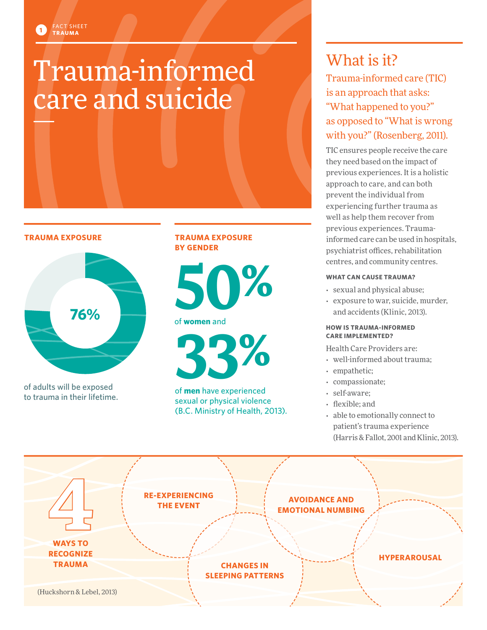# Trauma-informed care and suicide

**TRAUMA EXPOSURE** 

FACT SHEET **TRAUMA 1**



of adults will be exposed to trauma in their lifetime.

#### **TRAUMA EXPOSURE BY GENDER**



of **women** and

**33%**

of **men** have experienced sexual or physical violence (B.C. Ministry of Health, 2013).

# What is it?

Trauma-informed care (TIC) is an approach that asks: "What happened to you?" as opposed to "What is wrong with you?" (Rosenberg, 2011).

TIC ensures people receive the care they need based on the impact of previous experiences. It is a holistic approach to care, and can both prevent the individual from experiencing further trauma as well as help them recover from previous experiences. Traumainformed care can be used in hospitals, psychiatrist offices, rehabilitation centres, and community centres.

#### **WHAT CAN CAUSE TRAUMA?**

- sexual and physical abuse;
- exposure to war, suicide, murder, and accidents (Klinic, 2013).

#### **HOW IS TRAUMA-INFORMED CARE IMPLEMENTED?**

Health Care Providers are:

- well-informed about trauma;
- empathetic;
- compassionate;
- self-aware;
- flexible; and
- able to emotionally connect to patient's trauma experience (Harris & Fallot, 2001 and Klinic, 2013).

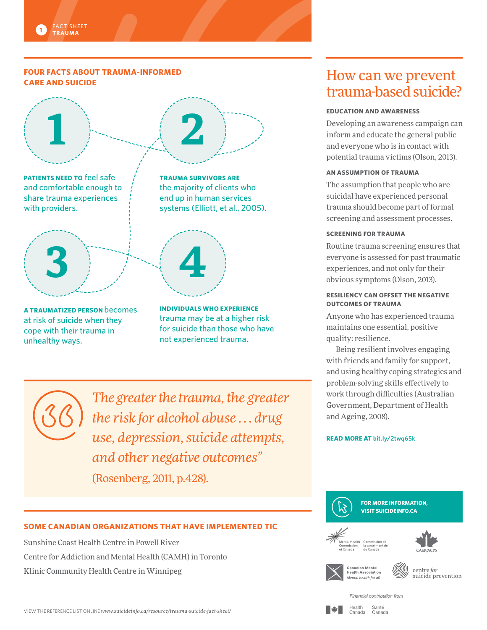#### **FOUR FACTS ABOUT TRAUMA-INFORMED CARE AND SUICIDE**



**A TRAUMATIZED PERSON** becomes at risk of suicide when they cope with their trauma in unhealthy ways.

**INDIVIDUALS WHO EXPERIENCE**  trauma may be at a higher risk for suicide than those who have not experienced trauma.

*The greater the trauma, the greater the risk for alcohol abuse . . . drug use, depression, suicide attempts, and other negative outcomes"*  (Rosenberg, 2011, p.428).

#### **SOME CANADIAN ORGANIZATIONS THAT HAVE IMPLEMENTED TIC**

Sunshine Coast Health Centre in Powell River Centre for Addiction and Mental Health (CAMH) in Toronto Klinic Community Health Centre in Winnipeg

### How can we prevent trauma-based suicide?

#### **EDUCATION AND AWARENESS**

Developing an awareness campaign can inform and educate the general public and everyone who is in contact with potential trauma victims (Olson, 2013).

#### **AN ASSUMPTION OF TRAUMA**

The assumption that people who are suicidal have experienced personal trauma should become part of formal screening and assessment processes.

#### **SCREENING FOR TRAUMA**

Routine trauma screening ensures that everyone is assessed for past traumatic experiences, and not only for their obvious symptoms (Olson, 2013).

#### **RESILIENCY CAN OFFSET THE NEGATIVE OUTCOMES OF TRAUMA**

Anyone who has experienced trauma maintains one essential, positive quality: resilience.

Being resilient involves engaging with friends and family for support, and using healthy coping strategies and problem-solving skills effectively to work through difficulties (Australian Government, Department of Health and Ageing, 2008).

#### **READ MORE AT [bit.ly/2twq65k](http://bit.ly/2twq65k)**







Health

Canada



centre for<br>suicide prevention

#### Financial contribution from Santé

Canada